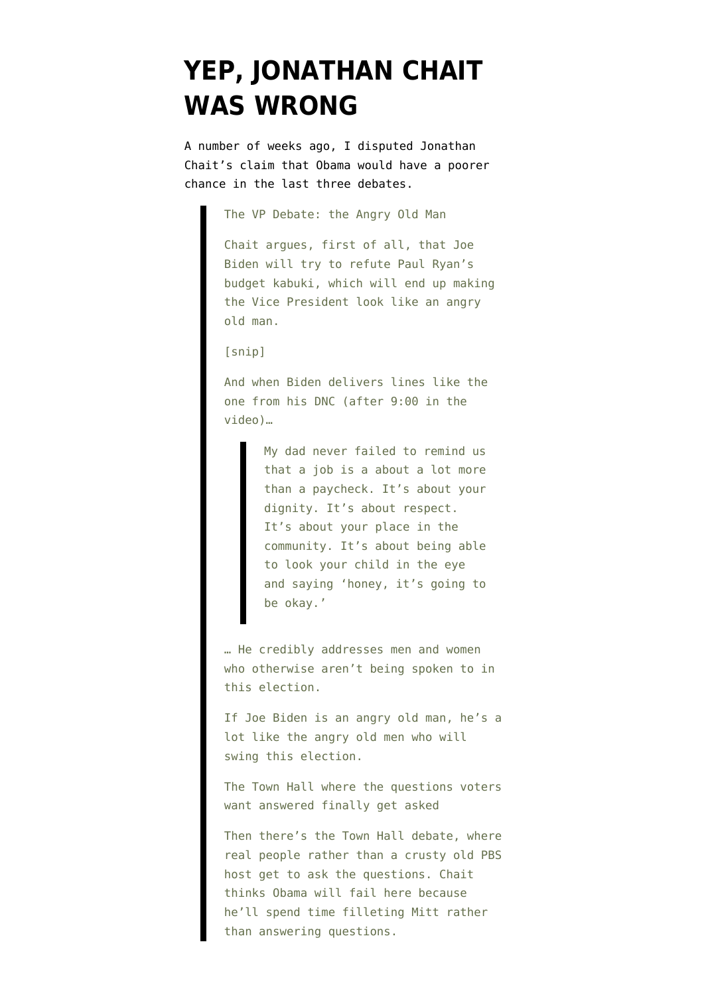## **[YEP, JONATHAN CHAIT](https://www.emptywheel.net/2012/10/23/yep-jonathan-chait-was-wrong/) [WAS WRONG](https://www.emptywheel.net/2012/10/23/yep-jonathan-chait-was-wrong/)**

A number of weeks ago, I [disputed](http://www.emptywheel.net/2012/10/08/jonathan-chait-is-wrong-about-debate-formats/) [Jonathan](http://nymag.com/daily/intel/2012/10/first-debate-was-obamas-best-chance.html?mid=google) [Chait's claim](http://nymag.com/daily/intel/2012/10/first-debate-was-obamas-best-chance.html?mid=google) that Obama would have a poorer chance in the last three debates.

The VP Debate: the Angry Old Man

Chait argues, first of all, that Joe Biden will try to refute Paul Ryan's budget kabuki, which will end up making the Vice President look like an angry old man.

[snip]

And when Biden delivers lines like the one from his DNC (after 9:00 in the video)…

> My dad never failed to remind us that a job is a about a lot more than a paycheck. It's about your dignity. It's about respect. It's about your place in the community. It's about being able to look your child in the eye and saying 'honey, it's going to be okay.'

… He credibly addresses men and women who otherwise aren't being spoken to in this election.

If Joe Biden is an angry old man, he's a lot like the angry old men who will swing this election.

The Town Hall where the questions voters want answered finally get asked

Then there's the Town Hall debate, where real people rather than a crusty old PBS host get to ask the questions. Chait thinks Obama will fail here because he'll spend time filleting Mitt rather than answering questions.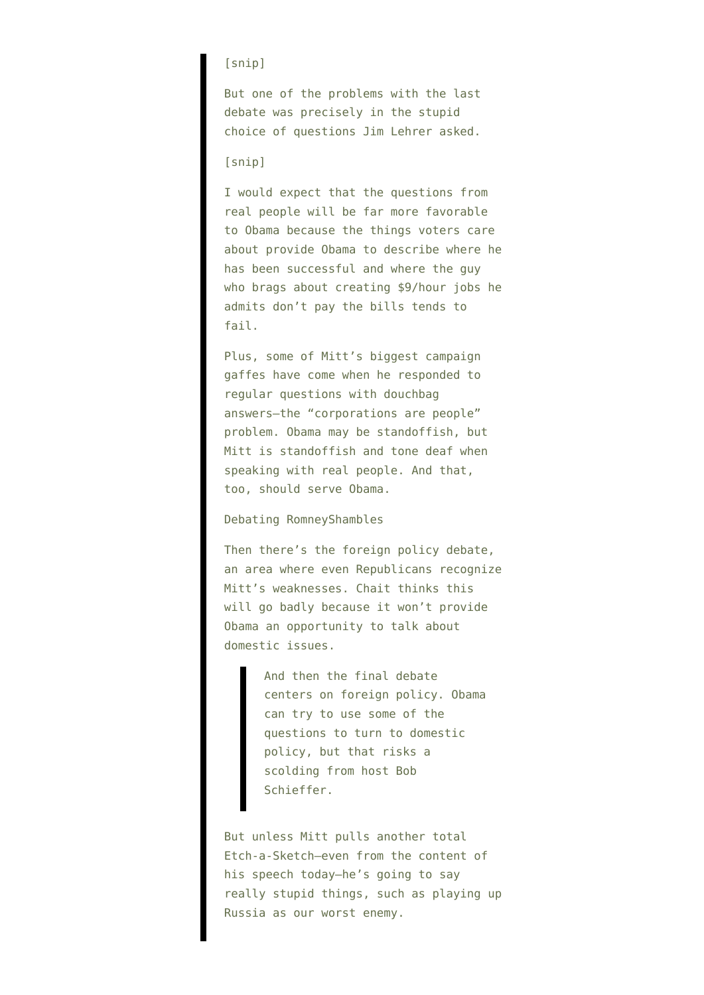## [snip]

But one of the problems with the last debate was precisely in the stupid choice of questions Jim Lehrer asked.

## [snip]

I would expect that the questions from real people will be far more favorable to Obama because the things voters care about provide Obama to describe where he has been successful and where the guy who brags about creating \$9/hour jobs he admits don't pay the bills tends to fail.

Plus, some of Mitt's biggest campaign gaffes have come when he responded to regular questions with douchbag answers–the "corporations are people" problem. Obama may be standoffish, but Mitt is standoffish and tone deaf when speaking with real people. And that, too, should serve Obama.

## Debating RomneyShambles

Then there's the foreign policy debate, an area where even Republicans recognize Mitt's weaknesses. Chait thinks this will go badly because it won't provide Obama an opportunity to talk about domestic issues.

> And then the final debate centers on foreign policy. Obama can try to use some of the questions to turn to domestic policy, but that risks a scolding from host Bob Schieffer.

But unless Mitt pulls another total Etch-a-Sketch–even from the content of his speech today–he's going to say really stupid things, such as playing up Russia as our worst enemy.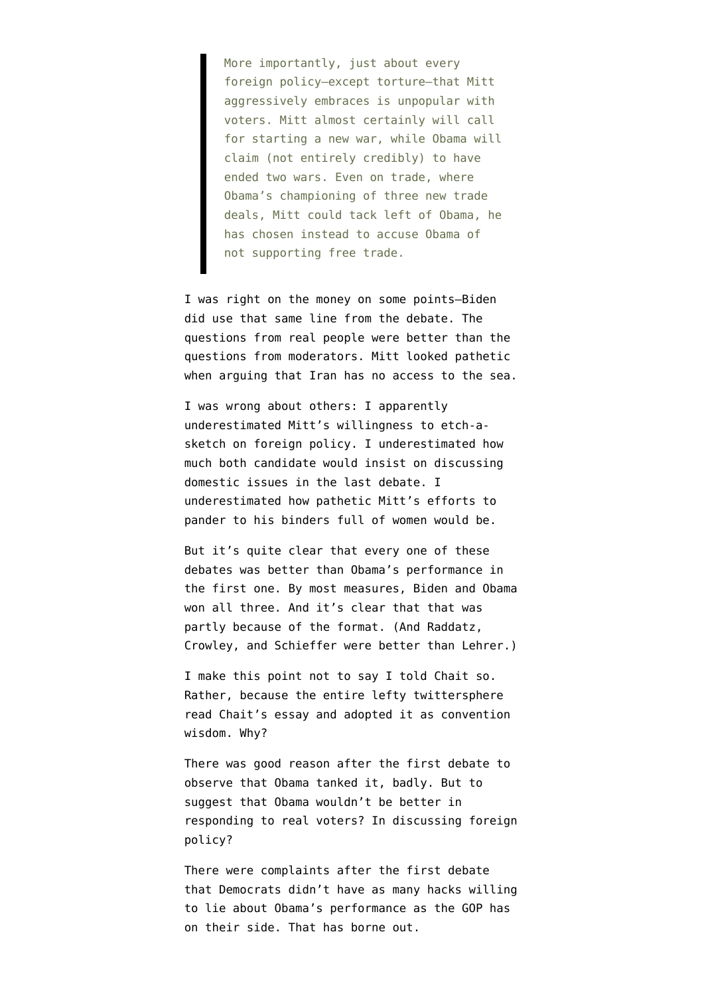More importantly, just about every foreign policy–except torture–that Mitt aggressively embraces is unpopular with voters. Mitt almost certainly will call for starting a new war, while Obama will claim (not entirely credibly) to have ended two wars. Even on trade, where Obama's championing of three new trade deals, Mitt could tack left of Obama, he has chosen instead to accuse Obama of not supporting free trade.

I was right on the money on some points–Biden did use that same line from the debate. The questions from real people were better than the questions from moderators. Mitt looked pathetic when arguing that Iran has no access to the sea.

I was wrong about others: I apparently underestimated Mitt's willingness to etch-asketch on foreign policy. I underestimated how much both candidate would insist on discussing domestic issues in the last debate. I underestimated how pathetic Mitt's efforts to pander to his binders full of women would be.

But it's quite clear that every one of these debates was better than Obama's performance in the first one. By most measures, Biden and Obama won all three. And it's clear that that was partly because of the format. (And Raddatz, Crowley, and Schieffer were better than Lehrer.)

I make this point not to say I told Chait so. Rather, because the entire lefty twittersphere read Chait's essay and adopted it as convention wisdom. Why?

There was good reason after the first debate to observe that Obama tanked it, badly. But to suggest that Obama wouldn't be better in responding to real voters? In discussing foreign policy?

There were complaints after the first debate that Democrats didn't have as many hacks willing to lie about Obama's performance as the GOP has on their side. That has borne out.